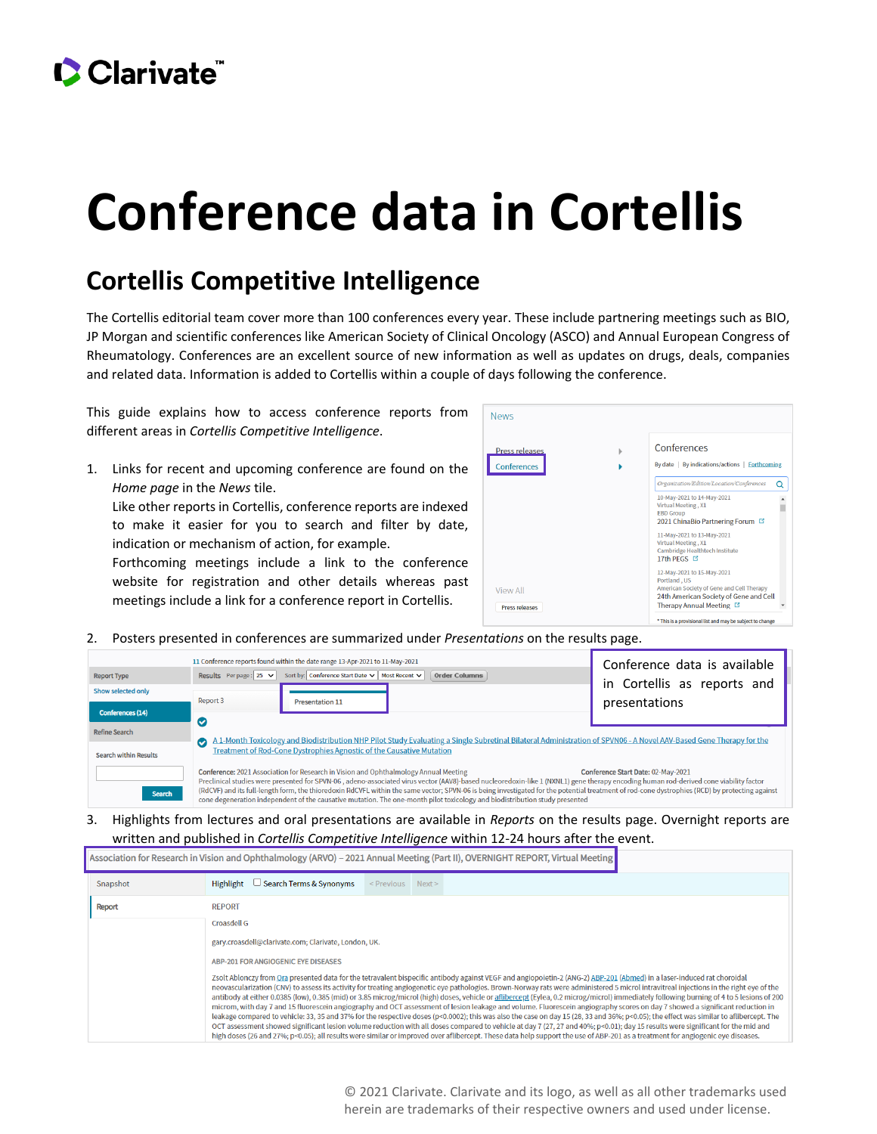## CClarivate

## **Conference data in Cortellis**

## **Cortellis Competitive Intelligence**

The Cortellis editorial team cover more than 100 conferences every year. These include partnering meetings such as BIO, JP Morgan and scientific conferences like American Society of Clinical Oncology (ASCO) and Annual European Congress of Rheumatology. Conferences are an excellent source of new information as well as updates on drugs, deals, companies and related data. Information is added to Cortellis within a couple of days following the conference.

This guide explains how to access conference reports from different areas in *Cortellis Competitive Intelligence*.

1. Links for recent and upcoming conference are found on the *Home page* in the *News* tile. Like other reports in Cortellis, conference reports are indexed to make it easier for you to search and filter by date, indication or mechanism of action, for example. Forthcoming meetings include a link to the conference website for registration and other details whereas past meetings include a link for a conference report in Cortellis.



2. Posters presented in conferences are summarized under *Presentations* on the results page.

| <b>Report Type</b>                                                                                                                                                                                                                                                                                                                                                                                                                                                                                                                                                                                                                                                    | Results Perpage: $25 \times$                                                                                                                                                                                                                                    | 11 Conference reports found within the date range 13-Apr-2021 to 11-May-2021<br>Sort by: Conference Start Date ∨ Most Recent ∨ | Conference data is available<br>in Cortellis as reports<br>and |               |  |  |  |  |
|-----------------------------------------------------------------------------------------------------------------------------------------------------------------------------------------------------------------------------------------------------------------------------------------------------------------------------------------------------------------------------------------------------------------------------------------------------------------------------------------------------------------------------------------------------------------------------------------------------------------------------------------------------------------------|-----------------------------------------------------------------------------------------------------------------------------------------------------------------------------------------------------------------------------------------------------------------|--------------------------------------------------------------------------------------------------------------------------------|----------------------------------------------------------------|---------------|--|--|--|--|
| Show selected only<br><b>Conferences (14)</b>                                                                                                                                                                                                                                                                                                                                                                                                                                                                                                                                                                                                                         | Report 3                                                                                                                                                                                                                                                        | <b>Presentation 11</b>                                                                                                         |                                                                | presentations |  |  |  |  |
| <b>Refine Search</b>                                                                                                                                                                                                                                                                                                                                                                                                                                                                                                                                                                                                                                                  | $\bullet$                                                                                                                                                                                                                                                       |                                                                                                                                |                                                                |               |  |  |  |  |
| <b>Search within Results</b>                                                                                                                                                                                                                                                                                                                                                                                                                                                                                                                                                                                                                                          | A 1-Month Toxicology and Biodistribution NHP Pilot Study Evaluating a Single Subretinal Bilateral Administration of SPVN06 - A Novel AAV-Based Gene Therapy for the<br>$\bullet$<br><b>Treatment of Rod-Cone Dystrophies Agnostic of the Causative Mutation</b> |                                                                                                                                |                                                                |               |  |  |  |  |
| Conference: 2021 Association for Research in Vision and Ophthalmology Annual Meeting<br>Conference Start Date: 02-May-2021<br>Preclinical studies were presented for SPVN-06, adeno-associated virus vector (AAV8)-based nucleoredoxin-like 1 (NXNL1) gene therapy encoding human rod-derived cone viability factor<br>(RdCVF) and its full-length form, the thioredoxin RdCVFL within the same vector; SPVN-06 is being investigated for the potential treatment of rod-cone dystrophies (RCD) by protecting against<br><b>Search</b><br>cone degeneration independent of the causative mutation. The one-month pilot toxicology and biodistribution study presented |                                                                                                                                                                                                                                                                 |                                                                                                                                |                                                                |               |  |  |  |  |

3. Highlights from lectures and oral presentations are available in *Reports* on the results page. Overnight reports are written and published in *Cortellis Competitive Intelligence* within 12-24 hours after the event.

| Association for Research in Vision and Ophthalmology (ARVO) - 2021 Annual Meeting (Part II), OVERNIGHT REPORT, Virtual Meeting |                                                                                                                                                                                                                                                                                                                                                                                                                                                                                                                                                                                                                                                                                                                                                                                                                                                                                                                                                                                                                                                                                                                                                                                                                                                                                                                                                                                                               |                 |      |  |  |  |  |
|--------------------------------------------------------------------------------------------------------------------------------|---------------------------------------------------------------------------------------------------------------------------------------------------------------------------------------------------------------------------------------------------------------------------------------------------------------------------------------------------------------------------------------------------------------------------------------------------------------------------------------------------------------------------------------------------------------------------------------------------------------------------------------------------------------------------------------------------------------------------------------------------------------------------------------------------------------------------------------------------------------------------------------------------------------------------------------------------------------------------------------------------------------------------------------------------------------------------------------------------------------------------------------------------------------------------------------------------------------------------------------------------------------------------------------------------------------------------------------------------------------------------------------------------------------|-----------------|------|--|--|--|--|
| Snapshot                                                                                                                       | <b>Search Terms &amp; Synonyms</b><br>Highlight                                                                                                                                                                                                                                                                                                                                                                                                                                                                                                                                                                                                                                                                                                                                                                                                                                                                                                                                                                                                                                                                                                                                                                                                                                                                                                                                                               | $\leq$ Previous | Next |  |  |  |  |
| <b>Report</b>                                                                                                                  | <b>REPORT</b><br><b>Croasdell G</b>                                                                                                                                                                                                                                                                                                                                                                                                                                                                                                                                                                                                                                                                                                                                                                                                                                                                                                                                                                                                                                                                                                                                                                                                                                                                                                                                                                           |                 |      |  |  |  |  |
|                                                                                                                                | gary.croasdell@clarivate.com; Clarivate, London, UK.<br>ABP-201 FOR ANGIOGENIC EYE DISEASES<br>Zsolt Ablonczy from Ora presented data for the tetravalent bispecific antibody against VEGF and angiopoietin-2 (ANG-2) ABP-201 (Abmed) in a laser-induced rat choroidal<br>neovascularization (CNV) to assess its activity for treating angiogenetic eye pathologies. Brown-Norway rats were administered 5 microl intravitreal injections in the right eye of the<br>antibody at either 0.0385 (low), 0.385 (mid) or 3.85 microg/microl (high) doses, vehicle or aflibercept (Eylea, 0.2 microg/microl) immediately following burning of 4 to 5 lesions of 200<br>microm, with day 7 and 15 fluorescein angiography and OCT assessment of lesion leakage and volume. Fluorescein angiography scores on day 7 showed a significant reduction in<br>leakage compared to vehicle: 33, 35 and 37% for the respective doses (p<0.0002); this was also the case on day 15 (28, 33 and 36%; p<0.05); the effect was similar to aflibercept. The<br>OCT assessment showed significant lesion volume reduction with all doses compared to vehicle at day 7 (27, 27 and 40%; p<0.01); day 15 results were significant for the mid and<br>high doses (26 and 27%; p<0.05); all results were similar or improved over aflibercept. These data help support the use of ABP-201 as a treatment for angiogenic eve diseases. |                 |      |  |  |  |  |

© 2021 Clarivate. Clarivate and its logo, as well as all other trademarks used herein are trademarks of their respective owners and used under license.